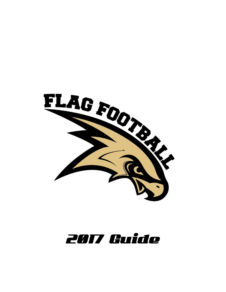

# **2017 Guide**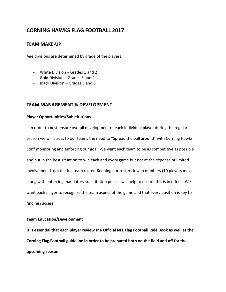# **CORNING HAWKS FLAG FOOTBALL 2017**

### **TEAM MAKE-UP:**

Age divisions are determined by grade of the players.

- White Division Grades 1 and 2
- Gold Division Grades 3 and 4
- Black Division Grades 5 and 6

# **TEAM MANAGEMENT & DEVELOPMENT**

#### **Player Opportunities/Substitutions**

 In order to best ensure overall development of each individual player during the regular season we will stress to our teams the need to "Spread the ball around" with Corning Hawks Staff monitoring and enforcing our goal. We want each team to be as competitive as possible and put in the best situation to win each and every game but not at the expense of limited involvement from the full team roster. Keeping our rosters low in numbers (10 players max) along with enforcing mandatory substitution polices will help to ensure this is in effect. We want each player to recognize the team aspect of the game and that every position is key to finding success.

#### **Team Education/Development**

**It is essential that each player review the Official NFL Flag Football Rule Book as well as the Corning Flag Football guideline in order to be prepared both on the field and off for the upcoming season.**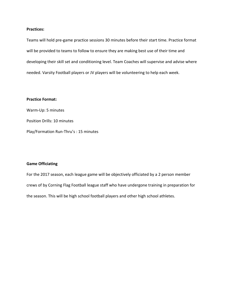#### **Practices:**

Teams will hold pre-game practice sessions 30 minutes before their start time. Practice format will be provided to teams to follow to ensure they are making best use of their time and developing their skill set and conditioning level. Team Coaches will supervise and advise where needed. Varsity Football players or JV players will be volunteering to help each week.

#### **Practice Format:**

Warm-Up: 5 minutes Position Drills: 10 minutes Play/Formation Run-Thru's : 15 minutes

#### **Game Officiating**

For the 2017 season, each league game will be objectively officiated by a 2 person member crews of by Corning Flag Football league staff who have undergone training in preparation for the season. This will be high school football players and other high school athletes.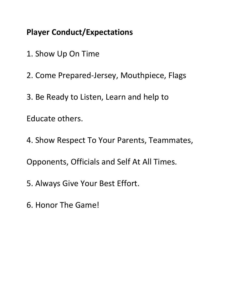# **Player Conduct/Expectations**

- 1. Show Up On Time
- 2. Come Prepared-Jersey, Mouthpiece, Flags
- 3. Be Ready to Listen, Learn and help to

Educate others.

4. Show Respect To Your Parents, Teammates,

Opponents, Officials and Self At All Times.

- 5. Always Give Your Best Effort.
- 6. Honor The Game!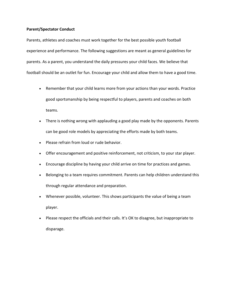#### **Parent/Spectator Conduct**

Parents, athletes and coaches must work together for the best possible youth football experience and performance. The following suggestions are meant as general guidelines for parents. As a parent, you understand the daily pressures your child faces. We believe that football should be an outlet for fun. Encourage your child and allow them to have a good time.

- Remember that your child learns more from your actions than your words. Practice good sportsmanship by being respectful to players, parents and coaches on both teams.
- There is nothing wrong with applauding a good play made by the opponents. Parents can be good role models by appreciating the efforts made by both teams.
- Please refrain from loud or rude behavior.
- Offer encouragement and positive reinforcement, not criticism, to your star player.
- Encourage discipline by having your child arrive on time for practices and games.
- Belonging to a team requires commitment. Parents can help children understand this through regular attendance and preparation.
- Whenever possible, volunteer. This shows participants the value of being a team player.
- Please respect the officials and their calls. It's OK to disagree, but inappropriate to disparage.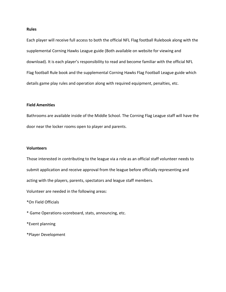#### **Rules**

Each player will receive full access to both the official NFL Flag football Rulebook along with the supplemental Corning Hawks League guide (Both available on website for viewing and download). It is each player's responsibility to read and become familiar with the official NFL Flag football Rule book and the supplemental Corning Hawks Flag Football League guide which details game play rules and operation along with required equipment, penalties, etc.

#### **Field Amenities**

Bathrooms are available inside of the Middle School. The Corning Flag League staff will have the door near the locker rooms open to player and parents.

#### **Volunteers**

Those interested in contributing to the league via a role as an official staff volunteer needs to submit application and receive approval from the league before officially representing and acting with the players, parents, spectators and league staff members.

Volunteer are needed in the following areas:

\*On Field Officials

- \* Game Operations-scoreboard, stats, announcing, etc.
- \*Event planning
- \*Player Development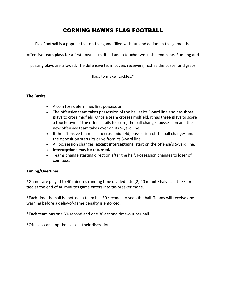# CORNING HAWKS FLAG FOOTBALL

Flag Football is a popular five-on-five game filled with fun and action. In this game, the

offensive team plays for a first down at midfield and a touchdown in the end zone. Running and

passing plays are allowed. The defensive team covers receivers, rushes the passer and grabs

flags to make "tackles."

#### **The Basics**

- A coin toss determines first possession.
- The offensive team takes possession of the ball at its 5-yard line and has **three plays** to cross midfield. Once a team crosses midfield, it has **three plays** to score a touchdown. If the offense fails to score, the ball changes possession and the new offensive team takes over on its 5-yard line.
- If the offensive team fails to cross midfield, possession of the ball changes and the opposition starts its drive from its 5-yard line.
- All possession changes, **except interceptions**, start on the offense's 5-yard line.
- **Interceptions may be returned.**
- Teams change starting direction after the half. Possession changes to loser of coin toss.

# **Timing/Overtime**

\*Games are played to 40 minutes running time divided into (2) 20 minute halves. If the score is tied at the end of 40 minutes game enters into tie-breaker mode.

\*Each time the ball is spotted, a team has 30 seconds to snap the ball. Teams will receive one warning before a delay-of-game penalty is enforced.

\*Each team has one 60-second and one 30-second time-out per half.

\*Officials can stop the clock at their discretion.